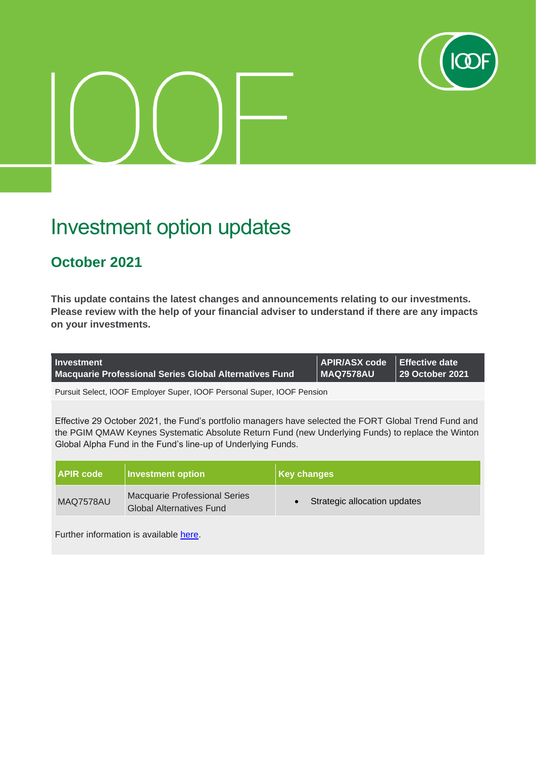

# Investment option updates

## **October 2021**

**This update contains the latest changes and announcements relating to our investments. Please review with the help of your financial adviser to understand if there are any impacts on your investments.**

| <b>Investment</b>                                             | APIR/ASX code Effective date |                                 |
|---------------------------------------------------------------|------------------------------|---------------------------------|
| <b>Macquarie Professional Series Global Alternatives Fund</b> | MAQ7578AU                    | ll 29 October 2021 <sup>'</sup> |

Pursuit Select, IOOF Employer Super, IOOF Personal Super, IOOF Pension

Effective 29 October 2021, the Fund's portfolio managers have selected the FORT Global Trend Fund and the PGIM QMAW Keynes Systematic Absolute Return Fund (new Underlying Funds) to replace the Winton Global Alpha Fund in the Fund's line-up of Underlying Funds.

| <b>APIR code</b> | Investment option                                                       | <b>Key changes</b>           |
|------------------|-------------------------------------------------------------------------|------------------------------|
| MAQ7578AU        | <b>Macquarie Professional Series</b><br><b>Global Alternatives Fund</b> | Strategic allocation updates |

Further information is available [here.](https://microsite.ioof.com.au/__data/assets/pdf_file/0003/444270/2021-10-29-Macquarie-Professional-Series-Global-Alternatives-Fund-investor-notice.pdf)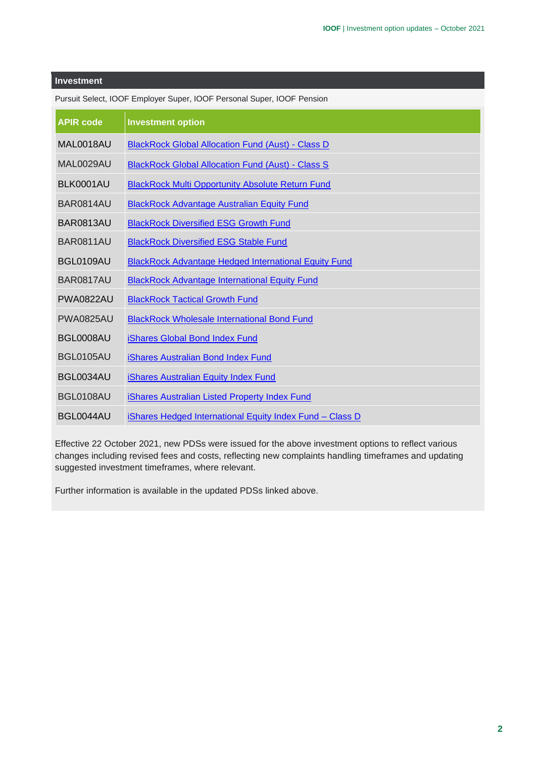| <b>APIR code</b> | <b>Investment option</b>                                    |
|------------------|-------------------------------------------------------------|
| MAL0018AU        | <b>BlackRock Global Allocation Fund (Aust) - Class D</b>    |
| MAL0029AU        | <b>BlackRock Global Allocation Fund (Aust) - Class S</b>    |
| BLK0001AU        | <b>BlackRock Multi Opportunity Absolute Return Fund</b>     |
| BAR0814AU        | <b>BlackRock Advantage Australian Equity Fund</b>           |
| <b>BAR0813AU</b> | <b>BlackRock Diversified ESG Growth Fund</b>                |
| <b>BAR0811AU</b> | <b>BlackRock Diversified ESG Stable Fund</b>                |
| BGL0109AU        | <b>BlackRock Advantage Hedged International Equity Fund</b> |
| <b>BAR0817AU</b> | <b>BlackRock Advantage International Equity Fund</b>        |
| <b>PWA0822AU</b> | <b>BlackRock Tactical Growth Fund</b>                       |
| <b>PWA0825AU</b> | <b>BlackRock Wholesale International Bond Fund</b>          |
| BGL0008AU        | iShares Global Bond Index Fund                              |
| <b>BGL0105AU</b> | iShares Australian Bond Index Fund                          |
| BGL0034AU        | iShares Australian Equity Index Fund                        |
| BGL0108AU        | <b>iShares Australian Listed Property Index Fund</b>        |
| BGL0044AU        | iShares Hedged International Equity Index Fund - Class D    |

Pursuit Select, IOOF Employer Super, IOOF Personal Super, IOOF Pension

Effective 22 October 2021, new PDSs were issued for the above investment options to reflect various changes including revised fees and costs, reflecting new complaints handling timeframes and updating suggested investment timeframes, where relevant.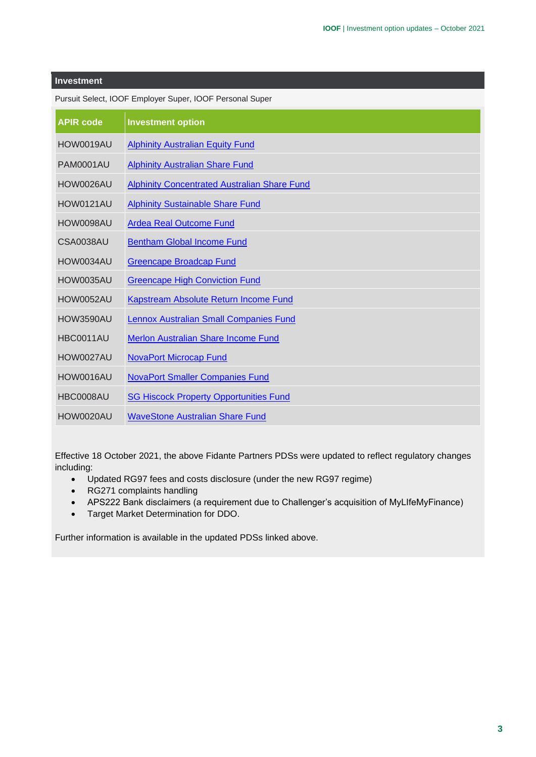| <b>APIR code</b> | <b>Investment option</b>                            |
|------------------|-----------------------------------------------------|
| HOW0019AU        | <b>Alphinity Australian Equity Fund</b>             |
| <b>PAM0001AU</b> | <b>Alphinity Australian Share Fund</b>              |
| HOW0026AU        | <b>Alphinity Concentrated Australian Share Fund</b> |
| <b>HOW0121AU</b> | <b>Alphinity Sustainable Share Fund</b>             |
| HOW0098AU        | <b>Ardea Real Outcome Fund</b>                      |
| CSA0038AU        | <b>Bentham Global Income Fund</b>                   |
| HOW0034AU        | <b>Greencape Broadcap Fund</b>                      |
| HOW0035AU        | <b>Greencape High Conviction Fund</b>               |
| <b>HOW0052AU</b> | Kapstream Absolute Return Income Fund               |
| <b>HOW3590AU</b> | <b>Lennox Australian Small Companies Fund</b>       |
| HBC0011AU        | Merlon Australian Share Income Fund                 |
| HOW0027AU        | <b>NovaPort Microcap Fund</b>                       |
| HOW0016AU        | <b>NovaPort Smaller Companies Fund</b>              |
| HBC0008AU        | <b>SG Hiscock Property Opportunities Fund</b>       |
| HOW0020AU        | <b>WaveStone Australian Share Fund</b>              |

Pursuit Select, IOOF Employer Super, IOOF Personal Super

Effective 18 October 2021, the above Fidante Partners PDSs were updated to reflect regulatory changes including:

- Updated RG97 fees and costs disclosure (under the new RG97 regime)
- RG271 complaints handling
- APS222 Bank disclaimers (a requirement due to Challenger's acquisition of MyLIfeMyFinance)
- Target Market Determination for DDO.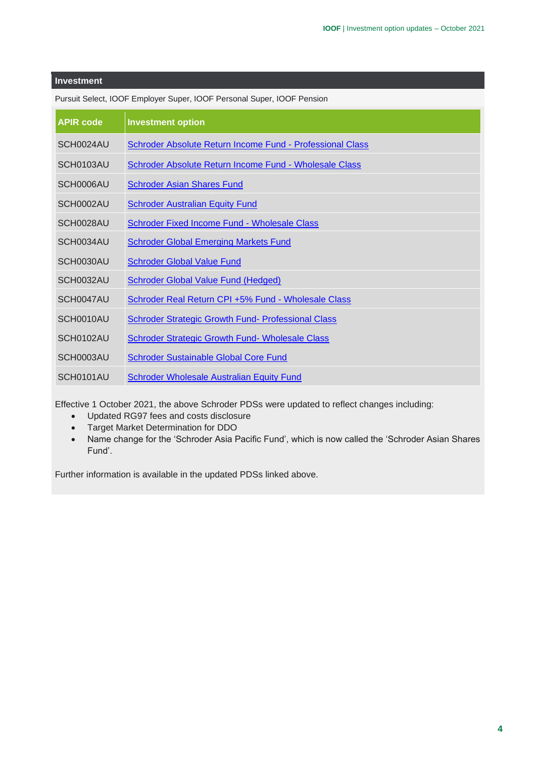| <b>APIR code</b> | <b>Investment option</b>                                         |
|------------------|------------------------------------------------------------------|
| SCH0024AU        | <b>Schroder Absolute Return Income Fund - Professional Class</b> |
| SCH0103AU        | Schroder Absolute Return Income Fund - Wholesale Class           |
| SCH0006AU        | <b>Schroder Asian Shares Fund</b>                                |
| SCH0002AU        | <b>Schroder Australian Equity Fund</b>                           |
| SCH0028AU        | Schroder Fixed Income Fund - Wholesale Class                     |
| SCH0034AU        | <b>Schroder Global Emerging Markets Fund</b>                     |
| SCH0030AU        | <b>Schroder Global Value Fund</b>                                |
| SCH0032AU        | <b>Schroder Global Value Fund (Hedged)</b>                       |
| SCH0047AU        | Schroder Real Return CPI +5% Fund - Wholesale Class              |
| SCH0010AU        | <b>Schroder Strategic Growth Fund- Professional Class</b>        |
| SCH0102AU        | Schroder Strategic Growth Fund- Wholesale Class                  |
| SCH0003AU        | <b>Schroder Sustainable Global Core Fund</b>                     |
| SCH0101AU        | Schroder Wholesale Australian Equity Fund                        |

Pursuit Select, IOOF Employer Super, IOOF Personal Super, IOOF Pension

Effective 1 October 2021, the above Schroder PDSs were updated to reflect changes including:

- Updated RG97 fees and costs disclosure
- Target Market Determination for DDO
- Name change for the 'Schroder Asia Pacific Fund', which is now called the 'Schroder Asian Shares Fund'.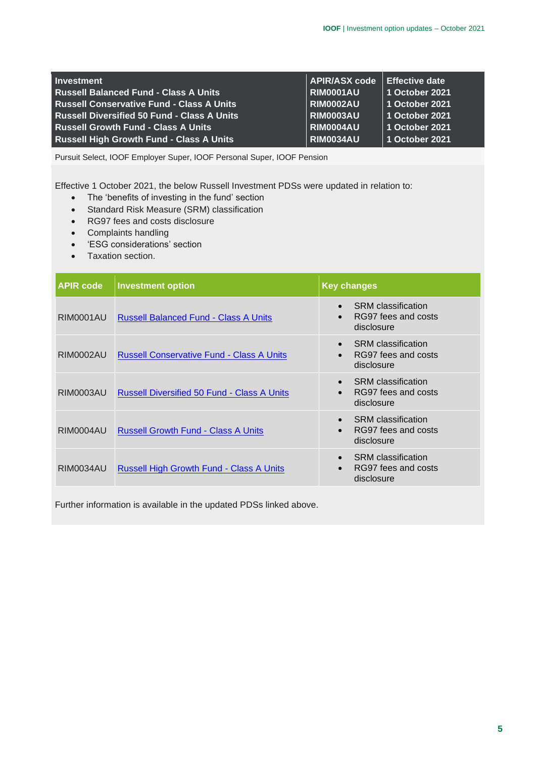| <b>Investment</b>                                  | APIR/ASX code Effective date |                |
|----------------------------------------------------|------------------------------|----------------|
| <b>Russell Balanced Fund - Class A Units</b>       | <b>RIM0001AU</b>             | 1 October 2021 |
| <b>Russell Conservative Fund - Class A Units</b>   | RIM0002AU                    | 1 October 2021 |
| <b>Russell Diversified 50 Fund - Class A Units</b> | RIM0003AU                    | 1 October 2021 |
| <b>Russell Growth Fund - Class A Units</b>         | RIM0004AU                    | 1 October 2021 |
| <b>Russell High Growth Fund - Class A Units</b>    | <b>RIM0034AU</b>             | 1 October 2021 |

Effective 1 October 2021, the below Russell Investment PDSs were updated in relation to:

- The 'benefits of investing in the fund' section
- Standard Risk Measure (SRM) classification
- RG97 fees and costs disclosure
- Complaints handling
- 'ESG considerations' section
- Taxation section.

| <b>APIR code</b> | <b>Investment option</b>                           | <b>Key changes</b>                                                                       |  |  |
|------------------|----------------------------------------------------|------------------------------------------------------------------------------------------|--|--|
| <b>RIM0001AU</b> | <b>Russell Balanced Fund - Class A Units</b>       | <b>SRM</b> classification<br>RG97 fees and costs<br>disclosure                           |  |  |
| <b>RIM0002AU</b> | <b>Russell Conservative Fund - Class A Units</b>   | <b>SRM</b> classification<br>$\bullet$<br>RG97 fees and costs<br>$\bullet$<br>disclosure |  |  |
| <b>RIM0003AU</b> | <b>Russell Diversified 50 Fund - Class A Units</b> | <b>SRM</b> classification<br>RG97 fees and costs<br>disclosure                           |  |  |
| <b>RIM0004AU</b> | <b>Russell Growth Fund - Class A Units</b>         | <b>SRM</b> classification<br>RG97 fees and costs<br>$\bullet$<br>disclosure              |  |  |
| <b>RIM0034AU</b> | <b>Russell High Growth Fund - Class A Units</b>    | <b>SRM</b> classification<br>RG97 fees and costs<br>disclosure                           |  |  |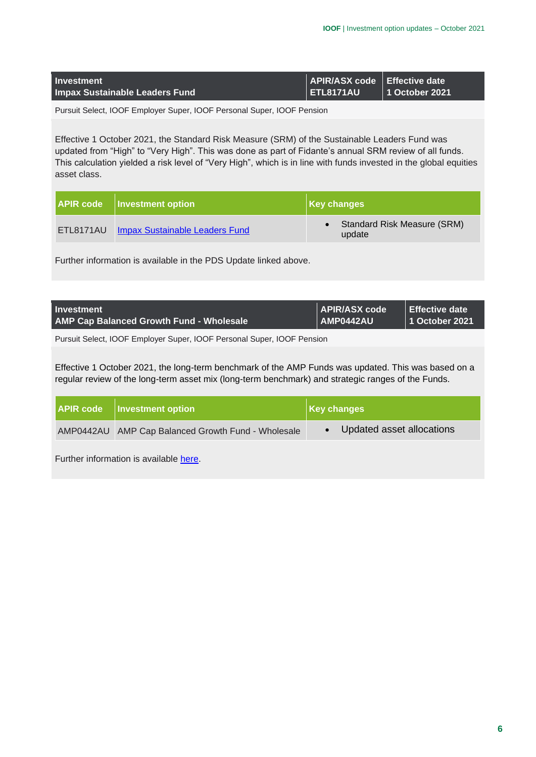| <b>Investment</b>                     | APIR/ASX code   Effective date |                        |
|---------------------------------------|--------------------------------|------------------------|
| <b>Impax Sustainable Leaders Fund</b> | <b>ETL8171AU</b>               | $\vert$ 1 October 2021 |

Effective 1 October 2021, the Standard Risk Measure (SRM) of the Sustainable Leaders Fund was updated from "High" to "Very High". This was done as part of Fidante's annual SRM review of all funds. This calculation yielded a risk level of "Very High", which is in line with funds invested in the global equities asset class.

| <b>APIR code</b>   Investment option     | Key changes                                  |
|------------------------------------------|----------------------------------------------|
| ETL8171AU Impax Sustainable Leaders Fund | <b>Standard Risk Measure (SRM)</b><br>update |

Further information is available in the PDS Update linked above.

| Investment                                      | APIR/ASX code                      | ∣ Effective date |
|-------------------------------------------------|------------------------------------|------------------|
| <b>AMP Cap Balanced Growth Fund - Wholesale</b> | $\overline{\phantom{a}}$ AMP0442AU | 1 October 2021   |

Pursuit Select, IOOF Employer Super, IOOF Personal Super, IOOF Pension

Effective 1 October 2021, the long-term benchmark of the AMP Funds was updated. This was based on a regular review of the long-term asset mix (long-term benchmark) and strategic ranges of the Funds.

| <b>APIR code</b>   Investment option               | $\vert$ Key changes       |  |
|----------------------------------------------------|---------------------------|--|
| AMP0442AU AMP Cap Balanced Growth Fund - Wholesale | Updated asset allocations |  |

Further information is available [here.](https://microsite.ioof.com.au/__data/assets/pdf_file/0009/444249/2021-10-01-AMP-Capital-Balanced-Growth-Fund-Wholesale-Investor-Notice.pdf)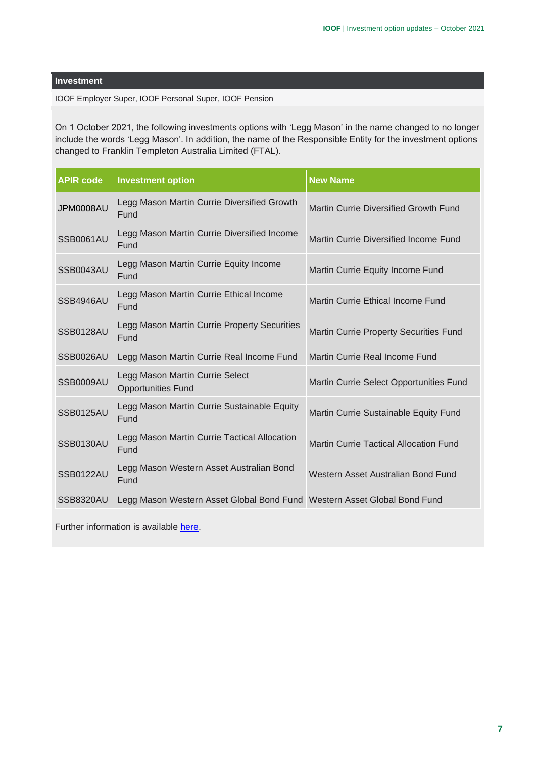IOOF Employer Super, IOOF Personal Super, IOOF Pension

On 1 October 2021, the following investments options with 'Legg Mason' in the name changed to no longer include the words 'Legg Mason'. In addition, the name of the Responsible Entity for the investment options changed to Franklin Templeton Australia Limited (FTAL).

| <b>APIR code</b> | <b>Investment option</b>                                                 | <b>New Name</b>                               |
|------------------|--------------------------------------------------------------------------|-----------------------------------------------|
| JPM0008AU        | Legg Mason Martin Currie Diversified Growth<br>Fund                      | Martin Currie Diversified Growth Fund         |
| <b>SSB0061AU</b> | Legg Mason Martin Currie Diversified Income<br>Fund                      | Martin Currie Diversified Income Fund         |
| <b>SSB0043AU</b> | Legg Mason Martin Currie Equity Income<br>Fund                           | Martin Currie Equity Income Fund              |
| SSB4946AU        | Legg Mason Martin Currie Ethical Income<br>Fund                          | Martin Currie Ethical Income Fund             |
| <b>SSB0128AU</b> | Legg Mason Martin Currie Property Securities<br>Fund                     | <b>Martin Currie Property Securities Fund</b> |
| SSB0026AU        | Legg Mason Martin Currie Real Income Fund                                | Martin Currie Real Income Fund                |
| <b>SSB0009AU</b> | Legg Mason Martin Currie Select<br><b>Opportunities Fund</b>             | Martin Currie Select Opportunities Fund       |
| <b>SSB0125AU</b> | Legg Mason Martin Currie Sustainable Equity<br>Fund                      | Martin Currie Sustainable Equity Fund         |
| <b>SSB0130AU</b> | Legg Mason Martin Currie Tactical Allocation<br>Fund                     | <b>Martin Currie Tactical Allocation Fund</b> |
| <b>SSB0122AU</b> | Legg Mason Western Asset Australian Bond<br>Fund                         | Western Asset Australian Bond Fund            |
| <b>SSB8320AU</b> | Legg Mason Western Asset Global Bond Fund Western Asset Global Bond Fund |                                               |

Further information is available [here.](https://img.updates.ioof.com.au/47/Uploads%202021/OCT/BB20102021/Legg%20mason%20name%20change.pdf)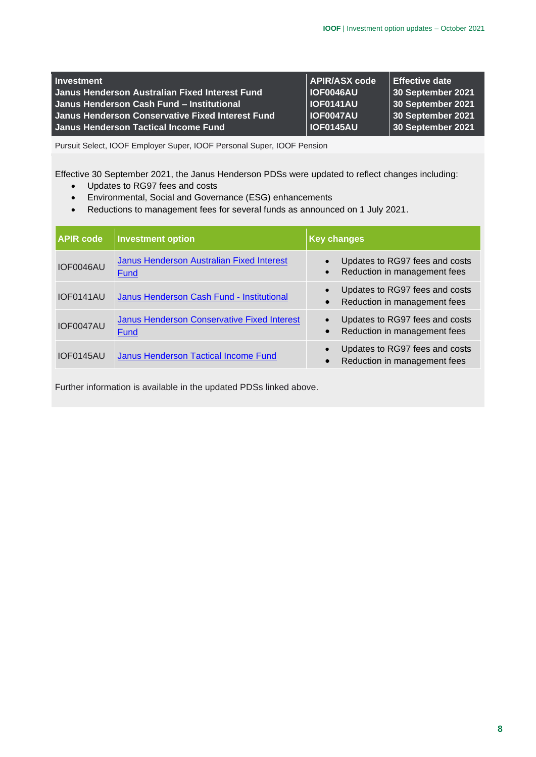| <b>Investment</b>                                | <b>APIR/ASX code</b> | <b>Effective date</b> |
|--------------------------------------------------|----------------------|-----------------------|
| Janus Henderson Australian Fixed Interest Fund   | <b>IOF0046AU</b>     | 30 September 2021     |
| Janus Henderson Cash Fund - Institutional        | <b>IOF0141AU</b>     | 30 September 2021     |
| Janus Henderson Conservative Fixed Interest Fund | <b>IOF0047AU</b>     | 30 September 2021     |
| Janus Henderson Tactical Income Fund             | <b>IOF0145AU</b>     | 30 September 2021     |

Effective 30 September 2021, the Janus Henderson PDSs were updated to reflect changes including:

- Updates to RG97 fees and costs
- Environmental, Social and Governance (ESG) enhancements
- Reductions to management fees for several funds as announced on 1 July 2021.

| <b>APIR code</b> | <b>Investment option</b>                            | <b>Key changes</b>                                                                       |  |
|------------------|-----------------------------------------------------|------------------------------------------------------------------------------------------|--|
| IOF0046AU        | Janus Henderson Australian Fixed Interest<br>Fund   | Updates to RG97 fees and costs<br>Reduction in management fees<br>$\bullet$              |  |
| IOF0141AU        | Janus Henderson Cash Fund - Institutional           | Updates to RG97 fees and costs<br>$\bullet$<br>Reduction in management fees<br>$\bullet$ |  |
| IOF0047AU        | Janus Henderson Conservative Fixed Interest<br>Fund | Updates to RG97 fees and costs<br>$\bullet$<br>Reduction in management fees<br>$\bullet$ |  |
| IOF0145AU        | Janus Henderson Tactical Income Fund                | Updates to RG97 fees and costs<br>$\bullet$<br>Reduction in management fees<br>$\bullet$ |  |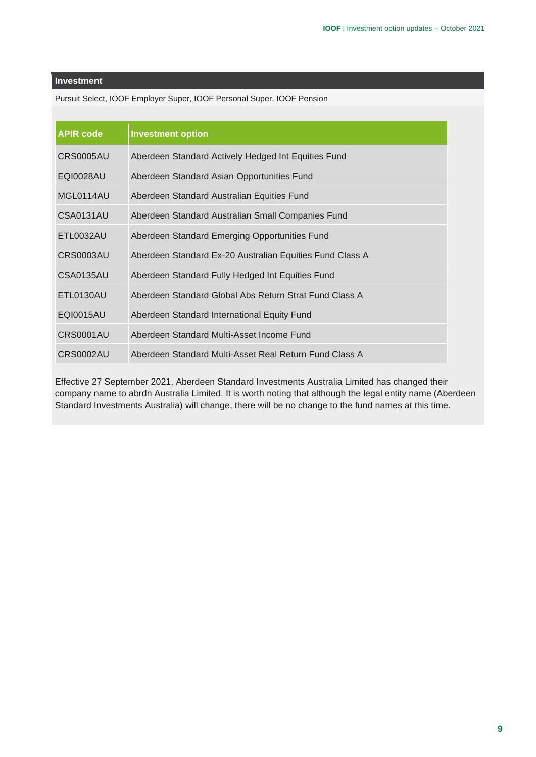Pursuit Select, IOOF Employer Super, IOOF Personal Super, IOOF Pension

| <b>APIR code</b> | <b>Investment option</b>                                 |
|------------------|----------------------------------------------------------|
| CRS0005AU        | Aberdeen Standard Actively Hedged Int Equities Fund      |
| <b>EQI0028AU</b> | Aberdeen Standard Asian Opportunities Fund               |
| MGL0114AU        | Aberdeen Standard Australian Equities Fund               |
| <b>CSA0131AU</b> | Aberdeen Standard Australian Small Companies Fund        |
| ETL0032AU        | Aberdeen Standard Emerging Opportunities Fund            |
| <b>CRS0003AU</b> | Aberdeen Standard Ex-20 Australian Equities Fund Class A |
| CSA0135AU        | Aberdeen Standard Fully Hedged Int Equities Fund         |
| ETL0130AU        | Aberdeen Standard Global Abs Return Strat Fund Class A   |
| EQI0015AU        | Aberdeen Standard International Equity Fund              |
| CRS0001AU        | Aberdeen Standard Multi-Asset Income Fund                |
| <b>CRS0002AU</b> | Aberdeen Standard Multi-Asset Real Return Fund Class A   |

Effective 27 September 2021, Aberdeen Standard Investments Australia Limited has changed their company name to abrdn Australia Limited. It is worth noting that although the legal entity name (Aberdeen Standard Investments Australia) will change, there will be no change to the fund names at this time.